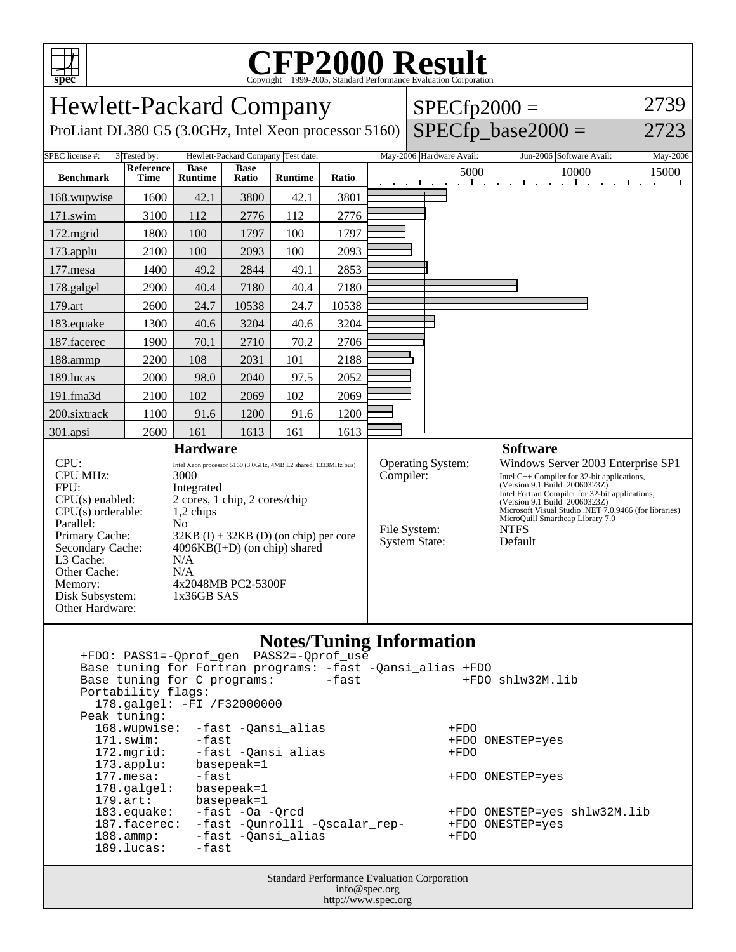

## C<sub>opyright</sub> ©1999-2005, Standard Performance Evaluation Corporation

| <b>Hewlett-Packard Company</b>                                                                                                                                                                                                                                                                                                                                                                                                                                                                                          |                                                 |                               |                      |                |                                                                               |  |                          |                                                                                                                                                                                                                                                                                                                                                  | $SPECfp2000 =$                    | 2739              |
|-------------------------------------------------------------------------------------------------------------------------------------------------------------------------------------------------------------------------------------------------------------------------------------------------------------------------------------------------------------------------------------------------------------------------------------------------------------------------------------------------------------------------|-------------------------------------------------|-------------------------------|----------------------|----------------|-------------------------------------------------------------------------------|--|--------------------------|--------------------------------------------------------------------------------------------------------------------------------------------------------------------------------------------------------------------------------------------------------------------------------------------------------------------------------------------------|-----------------------------------|-------------------|
| ProLiant DL380 G5 (3.0GHz, Intel Xeon processor 5160)<br>Hewlett-Packard Company Test date:                                                                                                                                                                                                                                                                                                                                                                                                                             |                                                 |                               |                      |                |                                                                               |  |                          |                                                                                                                                                                                                                                                                                                                                                  | $SPECfp\_base2000 =$              | 2723              |
| <b>SPEC</b> license #:<br><b>Benchmark</b>                                                                                                                                                                                                                                                                                                                                                                                                                                                                              | 3 Tested by:<br><b>Reference</b><br><b>Time</b> | <b>Base</b><br><b>Runtime</b> | <b>Base</b><br>Ratio | <b>Runtime</b> | Ratio                                                                         |  | May-2006 Hardware Avail: | 5000                                                                                                                                                                                                                                                                                                                                             | Jun-2006 Software Avail:<br>10000 | May-2006<br>15000 |
| 168.wupwise                                                                                                                                                                                                                                                                                                                                                                                                                                                                                                             | 1600                                            | 42.1                          | 3800                 | 42.1           | 3801                                                                          |  |                          |                                                                                                                                                                                                                                                                                                                                                  |                                   |                   |
| $171$ .swim                                                                                                                                                                                                                                                                                                                                                                                                                                                                                                             | 3100                                            | 112                           | 2776                 | 112            | 2776                                                                          |  |                          |                                                                                                                                                                                                                                                                                                                                                  |                                   |                   |
| 172.mgrid                                                                                                                                                                                                                                                                                                                                                                                                                                                                                                               | 1800                                            | 100                           | 1797                 | 100            | 1797                                                                          |  |                          |                                                                                                                                                                                                                                                                                                                                                  |                                   |                   |
| 173.applu                                                                                                                                                                                                                                                                                                                                                                                                                                                                                                               | 2100                                            | 100                           | 2093                 | 100            | 2093                                                                          |  |                          |                                                                                                                                                                                                                                                                                                                                                  |                                   |                   |
| 177.mesa                                                                                                                                                                                                                                                                                                                                                                                                                                                                                                                | 1400                                            | 49.2                          | 2844                 | 49.1           | 2853                                                                          |  |                          |                                                                                                                                                                                                                                                                                                                                                  |                                   |                   |
| 178.galgel                                                                                                                                                                                                                                                                                                                                                                                                                                                                                                              | 2900                                            | 40.4                          | 7180                 | 40.4           | 7180                                                                          |  |                          |                                                                                                                                                                                                                                                                                                                                                  |                                   |                   |
| 179.art                                                                                                                                                                                                                                                                                                                                                                                                                                                                                                                 | 2600                                            | 24.7                          | 10538                | 24.7           | 10538                                                                         |  |                          |                                                                                                                                                                                                                                                                                                                                                  |                                   |                   |
| 183.equake                                                                                                                                                                                                                                                                                                                                                                                                                                                                                                              | 1300                                            | 40.6                          | 3204                 | 40.6           | 3204                                                                          |  |                          |                                                                                                                                                                                                                                                                                                                                                  |                                   |                   |
| 187.facerec                                                                                                                                                                                                                                                                                                                                                                                                                                                                                                             | 1900                                            | 70.1                          | 2710                 | 70.2           | 2706                                                                          |  |                          |                                                                                                                                                                                                                                                                                                                                                  |                                   |                   |
| 188.ammp                                                                                                                                                                                                                                                                                                                                                                                                                                                                                                                | 2200                                            | 108                           | 2031                 | 101            | 2188                                                                          |  |                          |                                                                                                                                                                                                                                                                                                                                                  |                                   |                   |
| 189.lucas                                                                                                                                                                                                                                                                                                                                                                                                                                                                                                               | 2000                                            | 98.0                          | 2040                 | 97.5           | 2052                                                                          |  |                          |                                                                                                                                                                                                                                                                                                                                                  |                                   |                   |
| 191.fma3d                                                                                                                                                                                                                                                                                                                                                                                                                                                                                                               | 2100                                            | 102                           | 2069                 | 102            | 2069                                                                          |  |                          |                                                                                                                                                                                                                                                                                                                                                  |                                   |                   |
| 200.sixtrack                                                                                                                                                                                                                                                                                                                                                                                                                                                                                                            | 1100                                            | 91.6                          | 1200                 | 91.6           | 1200                                                                          |  |                          |                                                                                                                                                                                                                                                                                                                                                  |                                   |                   |
| 301.apsi                                                                                                                                                                                                                                                                                                                                                                                                                                                                                                                | 2600                                            | 161                           | 1613                 | 161            | 1613                                                                          |  |                          |                                                                                                                                                                                                                                                                                                                                                  |                                   |                   |
| <b>Hardware</b><br>CPU:<br>Intel Xeon processor 5160 (3.0GHz, 4MB L2 shared, 1333MHz bus)<br><b>CPU MHz:</b><br>3000<br>FPU:<br>Integrated<br>CPU(s) enabled:<br>2 cores, 1 chip, 2 cores/chip<br>$CPU(s)$ orderable:<br>1,2 chips<br>Parallel:<br>N <sub>0</sub><br>Primary Cache:<br>$32KB$ (I) + $32KB$ (D) (on chip) per core<br>$4096KB(I+D)$ (on chip) shared<br>Secondary Cache:<br>L3 Cache:<br>N/A<br>N/A<br>Other Cache:<br>4x2048MB PC2-5300F<br>Memory:<br>Disk Subsystem:<br>1x36GB SAS<br>Other Hardware: |                                                 |                               |                      |                | <b>Operating System:</b><br>Compiler:<br>File System:<br><b>System State:</b> |  |                          | <b>Software</b><br>Windows Server 2003 Enterprise SP1<br>Intel C++ Compiler for 32-bit applications,<br>(Version 9.1 Build 20060323Z)<br>Intel Fortran Compiler for 32-bit applications,<br>(Version 9.1 Build 20060323Z)<br>Microsoft Visual Studio .NET 7.0.9466 (for libraries)<br>MicroQuill Smartheap Library 7.0<br><b>NTFS</b><br>Default |                                   |                   |
| <b>Notes/Tuning Information</b><br>PASS2=-Qprof_use<br>+FDO: PASS1=-Qprof_gen<br>Base tuning for Fortran programs: -fast -Qansi_alias +FDO<br>Base tuning for C programs:<br>-fast<br>+FDO shlw32M.lib<br>Portability flags:                                                                                                                                                                                                                                                                                            |                                                 |                               |                      |                |                                                                               |  |                          |                                                                                                                                                                                                                                                                                                                                                  |                                   |                   |

 Portability flags: 178.galgel: -FI /F32000000 Peak tuning: 168.wupwise: -fast -Qansi\_alias +FDO<br>171.swim: -fast -cansi\_alias +FDO ONESTEP=yes 171.swim: -fast +FDO ONESTEP=yes 172.mgrid: -fast -Qansi\_alias +FDO 173.applu: basepeak=1<br>177.mesa: -fast +FDO ONESTEP=yes 178.galgel: basepeak=1<br>179.art: basepeak=1 .......<br>183.equake:<br>187.5 183.equake: -fast -Oa -Qrcd +FDO ONESTEP=yes shlw32M.lib 187.facerec: -fast -Qunroll1 -Qscalar\_rep- +FDO ONESTEP=yes 188.ammp: -fast -Qansi\_alias +FDO 189.lucas: -fast

> Standard Performance Evaluation Corporation info@spec.org http://www.spec.org